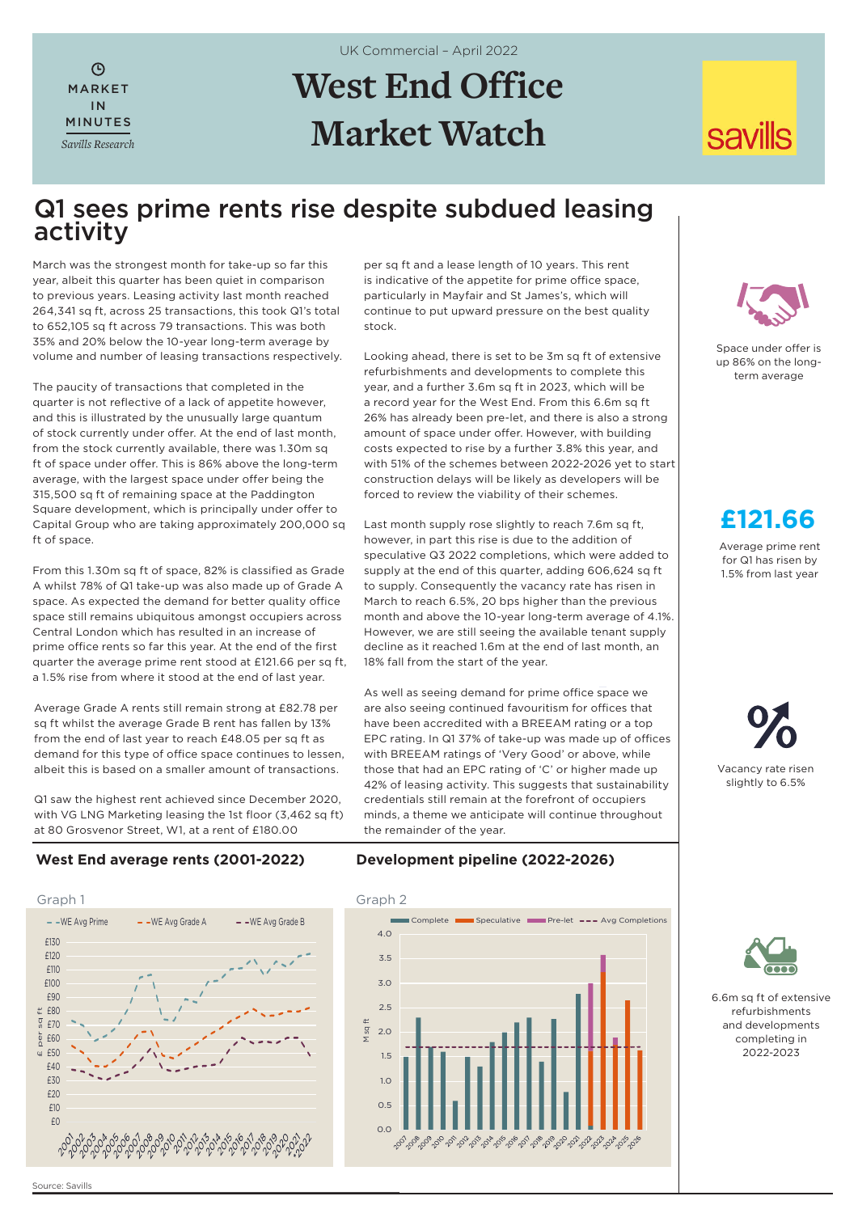# **West End Office Market Watch**

UK Commercial – April 2022

# **savills**

## Q1 sees prime rents rise despite subdued leasing activity

March was the strongest month for take-up so far this year, albeit this quarter has been quiet in comparison to previous years. Leasing activity last month reached 264,341 sq ft, across 25 transactions, this took Q1's total to 652,105 sq ft across 79 transactions. This was both 35% and 20% below the 10-year long-term average by volume and number of leasing transactions respectively.

MARKET IN MINUTES *Savills Research*

 $\odot$ 

The paucity of transactions that completed in the quarter is not reflective of a lack of appetite however, and this is illustrated by the unusually large quantum of stock currently under offer. At the end of last month, from the stock currently available, there was 1.30m sq ft of space under offer. This is 86% above the long-term average, with the largest space under offer being the 315,500 sq ft of remaining space at the Paddington Square development, which is principally under offer to Capital Group who are taking approximately 200,000 sq ft of space.

From this 1.30m sq ft of space, 82% is classified as Grade A whilst 78% of Q1 take-up was also made up of Grade A space. As expected the demand for better quality office space still remains ubiquitous amongst occupiers across Central London which has resulted in an increase of prime office rents so far this year. At the end of the first quarter the average prime rent stood at £121.66 per sq ft, a 1.5% rise from where it stood at the end of last year.

Average Grade A rents still remain strong at £82.78 per sq ft whilst the average Grade B rent has fallen by 13% from the end of last year to reach £48.05 per sq ft as demand for this type of office space continues to lessen, albeit this is based on a smaller amount of transactions.

Q1 saw the highest rent achieved since December 2020, with VG LNG Marketing leasing the 1st floor (3,462 sq ft) at 80 Grosvenor Street, W1, at a rent of £180.00

per sq ft and a lease length of 10 years. This rent is indicative of the appetite for prime office space, particularly in Mayfair and St James's, which will continue to put upward pressure on the best quality stock.

Looking ahead, there is set to be 3m sq ft of extensive refurbishments and developments to complete this year, and a further 3.6m sq ft in 2023, which will be a record year for the West End. From this 6.6m sq ft 26% has already been pre-let, and there is also a strong amount of space under offer. However, with building costs expected to rise by a further 3.8% this year, and with 51% of the schemes between 2022-2026 yet to start construction delays will be likely as developers will be forced to review the viability of their schemes.

Last month supply rose slightly to reach 7.6m sq ft, however, in part this rise is due to the addition of speculative Q3 2022 completions, which were added to supply at the end of this quarter, adding 606,624 sq ft to supply. Consequently the vacancy rate has risen in March to reach 6.5%, 20 bps higher than the previous month and above the 10-year long-term average of 4.1%. However, we are still seeing the available tenant supply decline as it reached 1.6m at the end of last month, an 18% fall from the start of the year.

As well as seeing demand for prime office space we are also seeing continued favouritism for offices that have been accredited with a BREEAM rating or a top EPC rating. In Q1 37% of take-up was made up of offices with BREEAM ratings of 'Very Good' or above, while those that had an EPC rating of 'C' or higher made up 42% of leasing activity. This suggests that sustainability credentials still remain at the forefront of occupiers minds, a theme we anticipate will continue throughout the remainder of the year.



Space under offer is up 86% on the longterm average

# **£121.66**

Average prime rent for Q1 has risen by 1.5% from last year

Vacancy rate risen slightly to 6.5%

#### **West End average rents (2001-2022)**



**Development pipeline (2022-2026)** 





6.6m sq ft of extensive refurbishments and developments completing in 2022-2023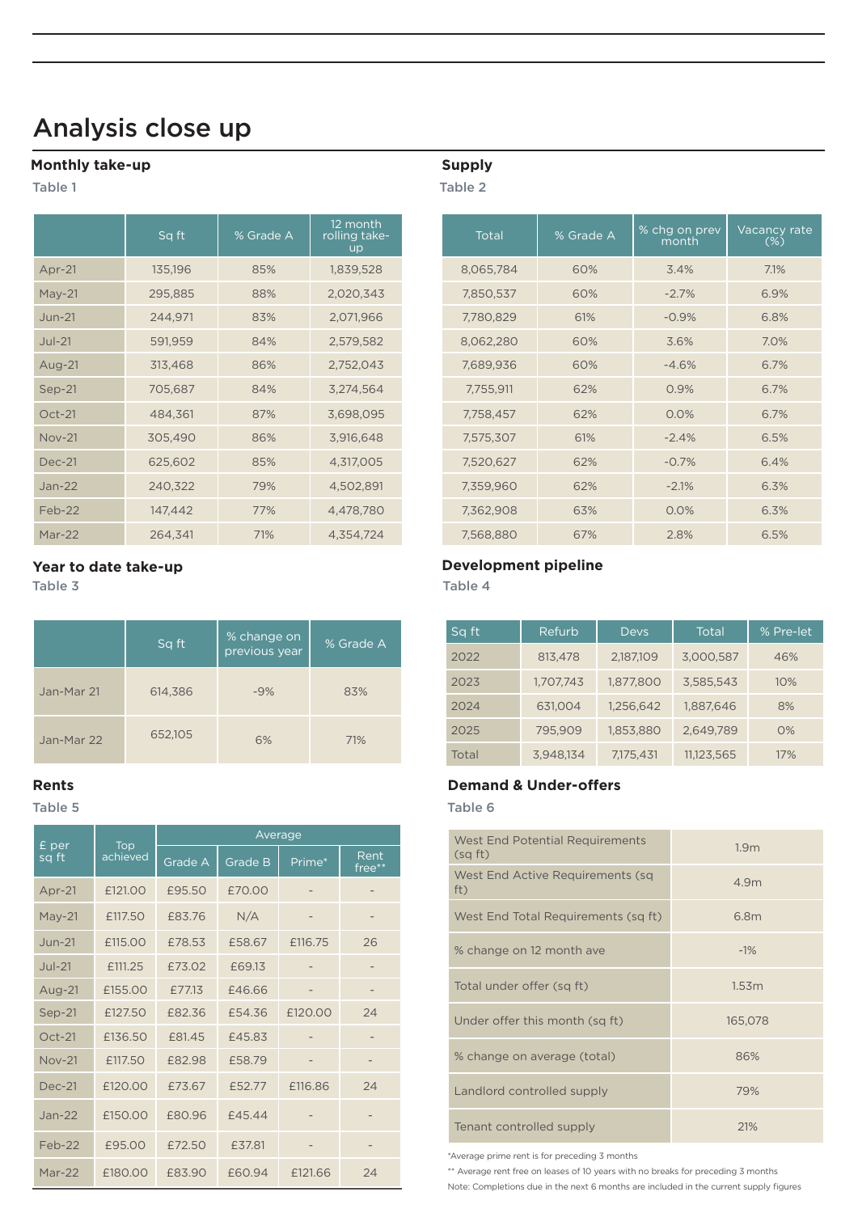# Analysis close up

#### **Monthly take-up**

Table 1

|               | Sq ft   | % Grade A | 12 month<br>rolling take-<br><b>up</b> | Total     | % Grade A | % chg on prev<br>month | Vacancy<br>$(\%)$ |
|---------------|---------|-----------|----------------------------------------|-----------|-----------|------------------------|-------------------|
| Apr-21        | 135,196 | 85%       | 1,839,528                              | 8,065,784 | 60%       | 3.4%                   | 7.1%              |
| $May-21$      | 295,885 | 88%       | 2,020,343                              | 7,850,537 | 60%       | $-2.7%$                | 6.9%              |
| $Jun-21$      | 244,971 | 83%       | 2,071,966                              | 7,780,829 | 61%       | $-0.9%$                | 6.8%              |
| $Jul-21$      | 591,959 | 84%       | 2,579,582                              | 8,062,280 | 60%       | 3.6%                   | 7.0%              |
| Aug-21        | 313,468 | 86%       | 2,752,043                              | 7,689,936 | 60%       | $-4.6%$                | 6.7%              |
| Sep-21        | 705,687 | 84%       | 3,274,564                              | 7,755,911 | 62%       | 0.9%                   | 6.7%              |
| $Oct-21$      | 484,361 | 87%       | 3,698,095                              | 7,758,457 | 62%       | 0.0%                   | 6.7%              |
| <b>Nov-21</b> | 305,490 | 86%       | 3,916,648                              | 7,575,307 | 61%       | $-2.4%$                | 6.5%              |
| <b>Dec-21</b> | 625,602 | 85%       | 4,317,005                              | 7,520,627 | 62%       | $-0.7%$                | 6.4%              |
| $Jan-22$      | 240,322 | 79%       | 4,502,891                              | 7,359,960 | 62%       | $-2.1%$                | 6.3%              |
| Feb-22        | 147,442 | 77%       | 4,478,780                              | 7,362,908 | 63%       | 0.0%                   | 6.3%              |
| Mar- $22$     | 264.341 | 71%       | 4.354.724                              | 7.568.880 | 67%       | 2.8%                   | 6.5%              |

|            | Sq ft   | % change on<br>previous year | % Grade A |  |
|------------|---------|------------------------------|-----------|--|
| Jan-Mar 21 | 614,386 | $-9%$                        | 83%       |  |
| Jan-Mar 22 | 652,105 | 6%                           | 71%       |  |

## Table 5 Table 6 **Rents Demand & Under-offers** £ per sq ft Top achieved Average Grade A Grade B Prime\* free\*\* Apr-21 £121.00 £95.50 £70.00 - - May-21 £117.50 £83.76 N/A - - Jun-21 £115.00 £78.53 £58.67 £116.75 26 Jul-21 £111.25 £73.02 £69.13 - - Aug-21 £155.00 £77.13 £46.66 - - Sep-21 £127.50 £82.36 £54.36 £120.00 24 Oct-21 £136.50 £81.45 £45.83 - - Nov-21 £117.50 £82.98 £58.79 - - Dec-21 £120.00 £73.67 £52.77 £116.86 24 Jan-22 £150.00 £80.96 £45.44 - - Feb-22 £95.00 £72.50 £37.81 - -Mar-22 £180.00 £83.90 £60.94 £121.66 24

### **Supply**

Table 2

|               | Sq ft   | % Grade A | 12 month<br>rolling take-<br><b>up</b> | Total     | % Grade A | % chg on prev<br>month | Vacancy rate<br>$(\%)$ |
|---------------|---------|-----------|----------------------------------------|-----------|-----------|------------------------|------------------------|
| Apr-21        | 135,196 | 85%       | 1,839,528                              | 8,065,784 | 60%       | 3.4%                   | 7.1%                   |
| $May-21$      | 295,885 | 88%       | 2,020,343                              | 7,850,537 | 60%       | $-2.7%$                | 6.9%                   |
| Jun-21        | 244,971 | 83%       | 2,071,966                              | 7,780,829 | 61%       | $-0.9%$                | 6.8%                   |
| $Jul-21$      | 591,959 | 84%       | 2,579,582                              | 8,062,280 | 60%       | 3.6%                   | 7.0%                   |
| Aug-21        | 313,468 | 86%       | 2,752,043                              | 7,689,936 | 60%       | $-4.6%$                | 6.7%                   |
| $Sep-21$      | 705,687 | 84%       | 3,274,564                              | 7,755,911 | 62%       | 0.9%                   | 6.7%                   |
| $Oct-21$      | 484,361 | 87%       | 3,698,095                              | 7,758,457 | 62%       | 0.0%                   | 6.7%                   |
| <b>Nov-21</b> | 305,490 | 86%       | 3,916,648                              | 7,575,307 | 61%       | $-2.4%$                | 6.5%                   |
| <b>Dec-21</b> | 625,602 | 85%       | 4,317,005                              | 7,520,627 | 62%       | $-0.7%$                | 6.4%                   |
| Jan-22        | 240,322 | 79%       | 4,502,891                              | 7,359,960 | 62%       | $-2.1%$                | 6.3%                   |
| Feb-22        | 147,442 | 77%       | 4,478,780                              | 7,362,908 | 63%       | 0.0%                   | 6.3%                   |
| Mar-22        | 264,341 | 71%       | 4,354,724                              | 7,568,880 | 67%       | 2.8%                   | 6.5%                   |

#### **Year to date take-up Development pipeline**

Table 3 Table 4

| Sq ft | Refurb    | <b>Devs</b> | Total      | % Pre-let |
|-------|-----------|-------------|------------|-----------|
| 2022  | 813,478   | 2,187,109   | 3,000,587  | 46%       |
| 2023  | 1,707,743 | 1,877,800   | 3,585,543  | 10%       |
| 2024  | 631.004   | 1,256,642   | 1,887,646  | 8%        |
| 2025  | 795.909   | 1,853,880   | 2,649,789  | O%        |
| Total | 3,948,134 | 7.175.431   | 11,123,565 | 17%       |

| West End Potential Requirements<br>(sqft) | 1.9 <sub>m</sub> |
|-------------------------------------------|------------------|
| West End Active Requirements (sq<br>ft)   | 4.9m             |
| West End Total Requirements (sq ft)       | 6.8m             |
| % change on 12 month ave                  | $-1\%$           |
| Total under offer (sq ft)                 | 1.53m            |
| Under offer this month (sq ft)            | 165,078          |
| % change on average (total)               | 86%              |
| Landlord controlled supply                | 79%              |
| Tenant controlled supply                  | 21%              |

\*Average prime rent is for preceding 3 months

\*\* Average rent free on leases of 10 years with no breaks for preceding 3 months

Note: Completions due in the next 6 months are included in the current supply figures